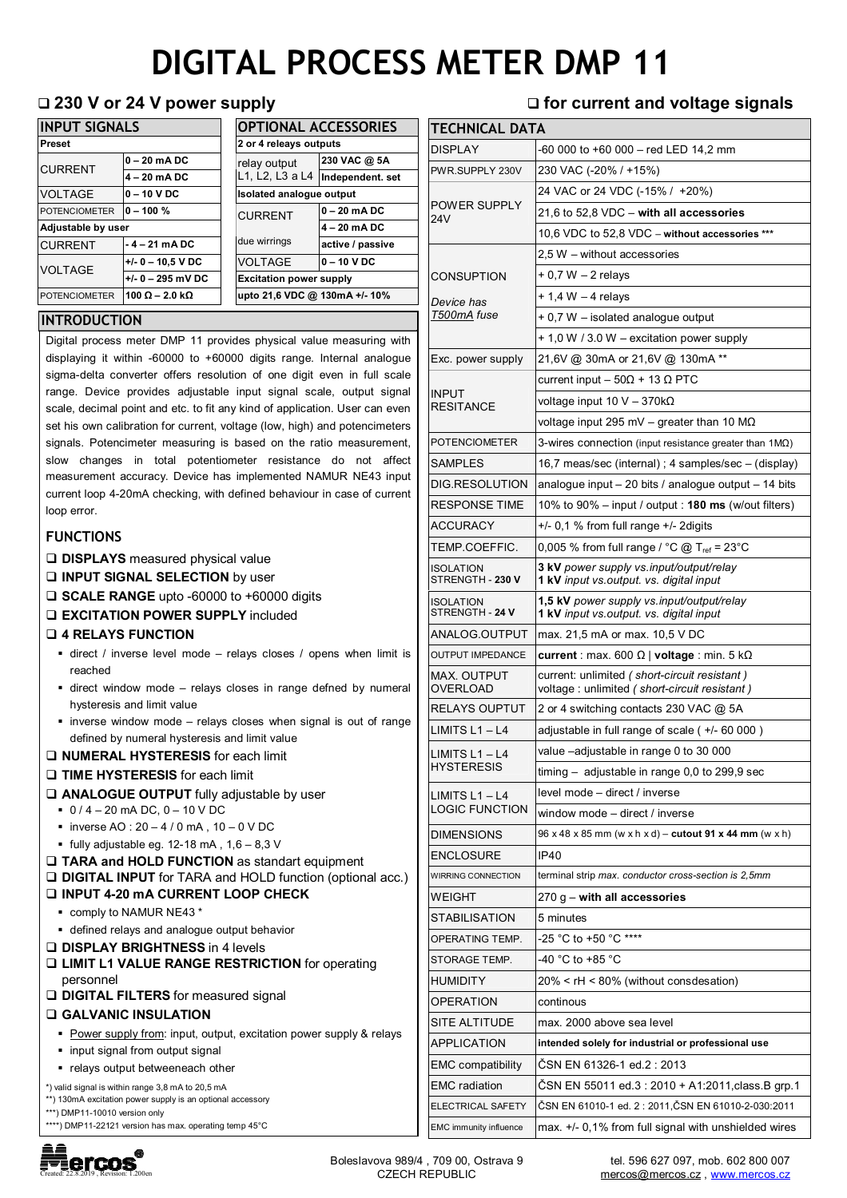# **DIGITAL PROCESS METER DMP 11**

**TECHNICAL DATA** 

| <b>INPUT SIGNALS</b> |                               |  | <b>OPTIONAL ACCESSORIES</b>     |                  |
|----------------------|-------------------------------|--|---------------------------------|------------------|
| <b>Preset</b>        |                               |  | 2 or 4 releays outputs          |                  |
| <b>CURRENT</b>       | $0 - 20$ mA DC                |  | relay output<br>L1, L2, L3 a L4 | 230 VAC @ 5A     |
|                      | $4 - 20$ mA DC                |  |                                 | Independent. set |
| <b>VOLTAGE</b>       | $0 - 10$ V DC                 |  | Isolated analogue output        |                  |
| <b>POTENCIOMETER</b> | $0 - 100 \%$                  |  | <b>CURRENT</b>                  | $0 - 20$ mA DC   |
| Adjustable by user   |                               |  |                                 | 4 - 20 mA DC     |
| <b>CURRENT</b>       | $-4-21$ mA DC                 |  | due wirrings                    | active / passive |
| <b>VOLTAGE</b>       | $+/- 0 - 10.5$ V DC           |  | <b>VOLTAGE</b>                  | $0 - 10 VDC$     |
|                      | $+/- 0 - 295$ mV DC           |  | <b>Excitation power supply</b>  |                  |
| <b>POTENCIOMETER</b> | 100 $\Omega$ – 2.0 k $\Omega$ |  | upto 21,6 VDC @ 130mA +/- 10%   |                  |

#### **INTRODUCTION**

Digital process meter DMP 11 provides physical value measuring with displaying it within -60000 to +60000 digits range. Internal analogue sigma-delta converter offers resolution of one digit even in full scale range. Device provides adjustable input signal scale, output signal scale, decimal point and etc. to fit any kind of application. User can even set his own calibration for current, voltage (low, high) and potencimeters signals. Potencimeter measuring is based on the ratio measurement, slow changes in total potentiometer resistance do not affect measurement accuracy. Device has implemented NAMUR NE43 input current loop 4-20mA checking, with defined behaviour in case of current loop error.

#### **FUNCTIONS**

- **DISPLAYS** measured physical value
- **INPUT SIGNAL SELECTION** by user
- □ **SCALE RANGE** upto -60000 to +60000 digits
- **EXCITATION POWER SUPPLY** included
- **4 RELAYS FUNCTION**
	- direct / inverse level mode relays closes / opens when limit is reached
	- direct window mode relays closes in range defned by numeral hysteresis and limit value
	- inverse window mode relays closes when signal is out of range defined by numeral hysteresis and limit value
- **NUMERAL HYSTERESIS** for each limit
- **TIME HYSTERESIS** for each limit
- **ANALOGUE OUTPUT** fully adjustable by user
	- $-0/4 20$  mA DC, 0 10 V DC
	- $\blacksquare$  inverse AO : 20 4 / 0 mA, 10 0 V DC
	- $\blacksquare$  fully adjustable eg. 12-18 mA, 1,6 8,3 V

#### **TARA and HOLD FUNCTION** as standart equipment **DIGITAL INPUT** for TARA and HOLD function (optional acc.) **INPUT 4-20 mA CURRENT LOOP CHECK**

- comply to NAMUR NE43 \*
- defined relays and analogue output behavior
- **DISPLAY BRIGHTNESS** in 4 levels
- **LIMIT L1 VALUE RANGE RESTRICTION** for operating personnel
- **DIGITAL FILTERS** for measured signal

#### **GALVANIC INSULATION**

- Power supply from: input, output, excitation power supply & relays
- input signal from output signal
- relays output betweeneach other
- \*) valid signal is within range 3,8 mA to 20,5 mA
- \*\*) 130mA excitation power supply is an optional accessory
- \*\*\*) DMP11-10010 version only
- \*\*\*\*) DMP11-22121 version has max. operating temp 45°C



## **230 V or 24 V power supply for current and voltage signals**

| I ECHNICAL DATA                                                            |                                                                                                 |  |  |  |
|----------------------------------------------------------------------------|-------------------------------------------------------------------------------------------------|--|--|--|
| <b>DISPLAY</b>                                                             | -60 000 to +60 000 - red LED 14,2 mm                                                            |  |  |  |
| PWR.SUPPLY 230V                                                            | 230 VAC (-20% / +15%)                                                                           |  |  |  |
|                                                                            | 24 VAC or 24 VDC (-15% / +20%)                                                                  |  |  |  |
| <b>POWER SUPPLY</b><br>24V                                                 | 21,6 to 52,8 VDC - with all accessories                                                         |  |  |  |
|                                                                            | 10,6 VDC to 52,8 VDC - without accessories ***                                                  |  |  |  |
|                                                                            | 2.5 W – without accessories                                                                     |  |  |  |
| CONSUPTION                                                                 | + 0,7 W - 2 relays                                                                              |  |  |  |
| Device has                                                                 | $+$ 1,4 W $-$ 4 relays                                                                          |  |  |  |
| T500mA fuse                                                                | + 0,7 W - isolated analogue output                                                              |  |  |  |
|                                                                            | + 1,0 W / 3.0 W - excitation power supply                                                       |  |  |  |
| Exc. power supply                                                          | 21,6V @ 30mA or 21,6V @ 130mA **                                                                |  |  |  |
|                                                                            | current input – 50 $\Omega$ + 13 $\Omega$ PTC                                                   |  |  |  |
| <b>INPUT</b>                                                               | voltage input 10 V – 370kΩ                                                                      |  |  |  |
| RESITANCE                                                                  | voltage input 295 mV – greater than 10 M $\Omega$                                               |  |  |  |
| POTENCIOMETER                                                              | 3-wires connection (input resistance greater than $1\text{M}\Omega$ )                           |  |  |  |
| SAMPLES                                                                    | 16,7 meas/sec (internal); 4 samples/sec - (display)                                             |  |  |  |
| DIG.RESOLUTION                                                             | analogue input $-20$ bits / analogue output $-14$ bits                                          |  |  |  |
| <b>RESPONSE TIME</b>                                                       | 10% to 90% – input / output : <b>180 ms</b> (w/out filters)                                     |  |  |  |
| ACCURACY                                                                   | $+/-$ 0,1 % from full range $+/-$ 2digits                                                       |  |  |  |
| TEMP.COEFFIC.                                                              | 0,005 % from full range / °C @ T <sub>ref</sub> = 23°C                                          |  |  |  |
| ISOLATION                                                                  |                                                                                                 |  |  |  |
| STRENGTH - 230 V                                                           | 3 kV power supply vs.input/output/relay<br><b>1 kV</b> input vs.output. vs. digital input       |  |  |  |
| <b>ISOLATION</b><br>STRENGTH - 24 V                                        | 1,5 kV power supply vs.input/output/relay<br>1 kV input vs.output. vs. digital input            |  |  |  |
| ANALOG.OUTPUT                                                              | max. 21,5 mA or max. 10,5 V DC                                                                  |  |  |  |
| <b>OUTPUT IMPEDANCE</b>                                                    | current : max. 600 $\Omega$   voltage : min. 5 k $\Omega$                                       |  |  |  |
| <b>MAX. OUTPUT</b><br><b>OVERLOAD</b>                                      | current: unlimited (short-circuit resistant)<br>voltage : unlimited ( short-circuit resistant ) |  |  |  |
| <b>RELAYS OUPTUT</b>                                                       | 2 or 4 switching contacts 230 VAC @ 5A                                                          |  |  |  |
| LIMITS $L1 - L4$                                                           | adjustable in full range of scale ( +/- 60 000 )                                                |  |  |  |
| LIMITS $L1 - L4$                                                           | value -adjustable in range 0 to 30 000                                                          |  |  |  |
| <b>HYSTERESIS</b>                                                          | timing $-$ adjustable in range 0,0 to 299,9 sec                                                 |  |  |  |
| LIMITS $L1 - L4$                                                           | level mode - direct / inverse                                                                   |  |  |  |
| <b>LOGIC FUNCTION</b>                                                      | window mode - direct / inverse                                                                  |  |  |  |
| <b>DIMENSIONS</b>                                                          | 96 x 48 x 85 mm (w x h x d) - cutout 91 x 44 mm (w x h)                                         |  |  |  |
| <b>ENCLOSURE</b>                                                           | IP40                                                                                            |  |  |  |
| WIRRING CONNECTION                                                         | terminal strip max. conductor cross-section is 2,5mm                                            |  |  |  |
| WEIGHT                                                                     | $270 g -$ with all accessories                                                                  |  |  |  |
| STABILISATION                                                              | 5 minutes                                                                                       |  |  |  |
| OPERATING TEMP.                                                            | -25 °C to +50 °C ****                                                                           |  |  |  |
| STORAGE TEMP.                                                              | -40 °C to +85 °C                                                                                |  |  |  |
| HUMIDITY                                                                   | 20% < rH < 80% (without consdesation)                                                           |  |  |  |
| OPERATION                                                                  | continous                                                                                       |  |  |  |
| SITE ALTITUDE                                                              | max. 2000 above sea level                                                                       |  |  |  |
| <b>APPLICATION</b><br>intended solely for industrial or professional use   |                                                                                                 |  |  |  |
| ČSN EN 61326-1 ed.2 : 2013<br><b>EMC</b> compatibility                     |                                                                                                 |  |  |  |
| <b>EMC</b> radiation<br>ČSN EN 55011 ed.3 : 2010 + A1:2011, class. B grp.1 |                                                                                                 |  |  |  |
| ELECTRICAL SAFETY                                                          | ČSN EN 61010-1 ed. 2 : 2011, ČSN EN 61010-2-030:2011                                            |  |  |  |
| EMC immunity influence                                                     | max. +/- 0,1% from full signal with unshielded wires                                            |  |  |  |

tel. 596 627 097, mob. 602 800 007 mercos@mercos.cz, www.mercos.cz